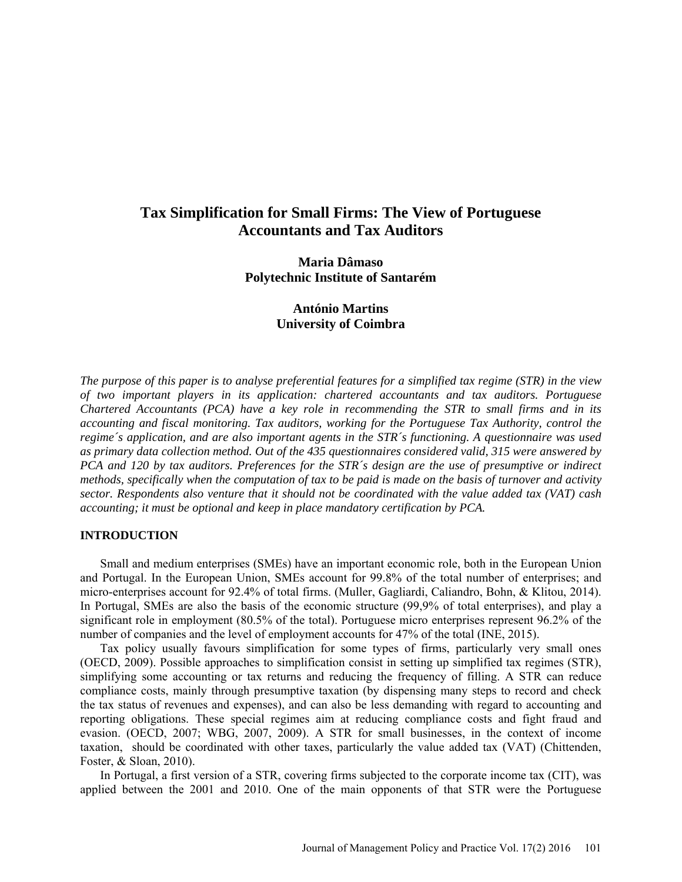# **Tax Simplification for Small Firms: The View of Portuguese Accountants and Tax Auditors**

**Maria Dâmaso Polytechnic Institute of Santarém**

> **António Martins University of Coimbra**

*The purpose of this paper is to analyse preferential features for a simplified tax regime (STR) in the view of two important players in its application: chartered accountants and tax auditors. Portuguese Chartered Accountants (PCA) have a key role in recommending the STR to small firms and in its accounting and fiscal monitoring. Tax auditors, working for the Portuguese Tax Authority, control the regime´s application, and are also important agents in the STR´s functioning. A questionnaire was used as primary data collection method. Out of the 435 questionnaires considered valid, 315 were answered by PCA and 120 by tax auditors. Preferences for the STR´s design are the use of presumptive or indirect methods, specifically when the computation of tax to be paid is made on the basis of turnover and activity sector. Respondents also venture that it should not be coordinated with the value added tax (VAT) cash accounting; it must be optional and keep in place mandatory certification by PCA.* 

## **INTRODUCTION**

Small and medium enterprises (SMEs) have an important economic role, both in the European Union and Portugal. In the European Union, SMEs account for 99.8% of the total number of enterprises; and micro-enterprises account for 92.4% of total firms. [\(Muller, Gagliardi, Caliandro, Bohn, & Klitou, 2014\)](#page-12-0). In Portugal, SMEs are also the basis of the economic structure (99,9% of total enterprises), and play a significant role in employment (80.5% of the total). Portuguese micro enterprises represent 96.2% of the number of companies and the level of employment accounts for 47% of the total [\(INE, 2015\)](#page-12-1).

Tax policy usually favours simplification for some types of firms, particularly very small ones (OECD, 2009). Possible approaches to simplification consist in setting up simplified tax regimes (STR), simplifying some accounting or tax returns and reducing the frequency of filling. A STR can reduce compliance costs, mainly through presumptive taxation (by dispensing many steps to record and check the tax status of revenues and expenses), and can also be less demanding with regard to accounting and reporting obligations. These special regimes aim at reducing compliance costs and fight fraud and evasion. [\(OECD, 2007;](#page-12-2) [WBG, 2007,](#page-12-3) [2009\)](#page-13-0). A STR for small businesses, in the context of income taxation, should be coordinated with other taxes, particularly the value added tax (VAT) [\(Chittenden,](#page-11-0)  [Foster, & Sloan, 2010\)](#page-11-0).

In Portugal, a first version of a STR, covering firms subjected to the corporate income tax (CIT), was applied between the 2001 and 2010. One of the main opponents of that STR were the Portuguese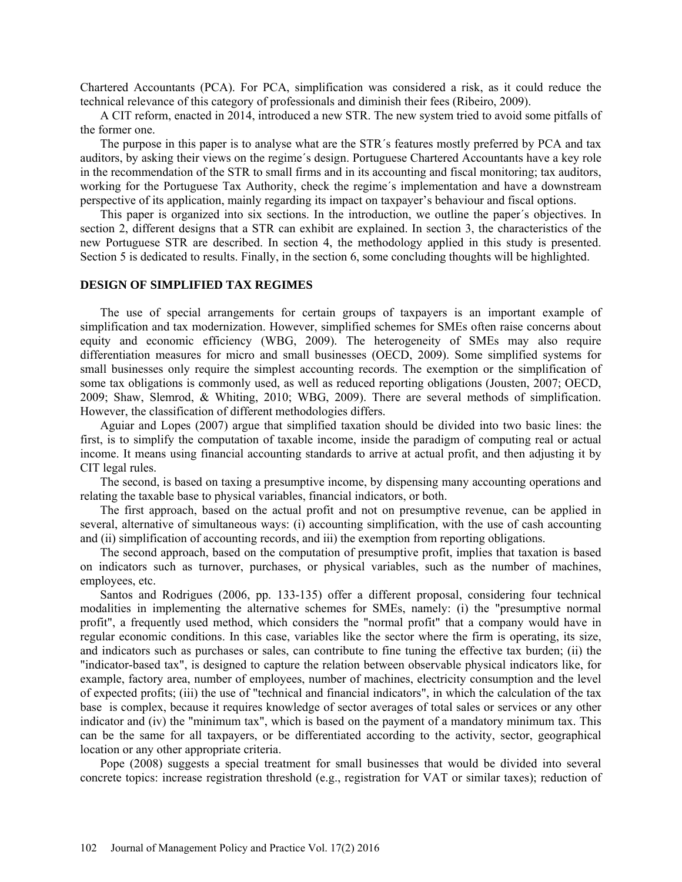Chartered Accountants (PCA). For PCA, simplification was considered a risk, as it could reduce the technical relevance of this category of professionals and diminish their fees [\(Ribeiro, 2009\)](#page-12-4).

A CIT reform, enacted in 2014, introduced a new STR. The new system tried to avoid some pitfalls of the former one.

The purpose in this paper is to analyse what are the STR´s features mostly preferred by PCA and tax auditors, by asking their views on the regime´s design. Portuguese Chartered Accountants have a key role in the recommendation of the STR to small firms and in its accounting and fiscal monitoring; tax auditors, working for the Portuguese Tax Authority, check the regime´s implementation and have a downstream perspective of its application, mainly regarding its impact on taxpayer's behaviour and fiscal options.

This paper is organized into six sections. In the introduction, we outline the paper´s objectives. In section 2, different designs that a STR can exhibit are explained. In section 3, the characteristics of the new Portuguese STR are described. In section 4, the methodology applied in this study is presented. Section 5 is dedicated to results. Finally, in the section 6, some concluding thoughts will be highlighted.

## **DESIGN OF SIMPLIFIED TAX REGIMES**

The use of special arrangements for certain groups of taxpayers is an important example of simplification and tax modernization. However, simplified schemes for SMEs often raise concerns about equity and economic efficiency [\(WBG, 2009\)](#page-13-0). The heterogeneity of SMEs may also require differentiation measures for micro and small businesses [\(OECD, 2009\)](#page-12-5). Some simplified systems for small businesses only require the simplest accounting records. The exemption or the simplification of some tax obligations is commonly used, as well as reduced reporting obligations [\(Jousten, 2007;](#page-12-6) [OECD,](#page-12-5)  [2009;](#page-12-5) [Shaw, Slemrod, & Whiting, 2010;](#page-12-7) [WBG, 2009\)](#page-13-0). There are several methods of simplification. However, the classification of different methodologies differs.

[Aguiar and Lopes \(2007\)](#page-11-1) argue that simplified taxation should be divided into two basic lines: the first, is to simplify the computation of taxable income, inside the paradigm of computing real or actual income. It means using financial accounting standards to arrive at actual profit, and then adjusting it by CIT legal rules.

The second, is based on taxing a presumptive income, by dispensing many accounting operations and relating the taxable base to physical variables, financial indicators, or both.

The first approach, based on the actual profit and not on presumptive revenue, can be applied in several, alternative of simultaneous ways: (i) accounting simplification, with the use of cash accounting and (ii) simplification of accounting records, and iii) the exemption from reporting obligations.

The second approach, based on the computation of presumptive profit, implies that taxation is based on indicators such as turnover, purchases, or physical variables, such as the number of machines, employees, etc.

[Santos and Rodrigues \(2006, pp. 133-135\)](#page-12-8) offer a different proposal, considering four technical modalities in implementing the alternative schemes for SMEs, namely: (i) the "presumptive normal profit", a frequently used method, which considers the "normal profit" that a company would have in regular economic conditions. In this case, variables like the sector where the firm is operating, its size, and indicators such as purchases or sales, can contribute to fine tuning the effective tax burden; (ii) the "indicator-based tax", is designed to capture the relation between observable physical indicators like, for example, factory area, number of employees, number of machines, electricity consumption and the level of expected profits; (iii) the use of "technical and financial indicators", in which the calculation of the tax base is complex, because it requires knowledge of sector averages of total sales or services or any other indicator and (iv) the "minimum tax", which is based on the payment of a mandatory minimum tax. This can be the same for all taxpayers, or be differentiated according to the activity, sector, geographical location or any other appropriate criteria.

[Pope \(2008\)](#page-12-9) suggests a special treatment for small businesses that would be divided into several concrete topics: increase registration threshold (e.g., registration for VAT or similar taxes); reduction of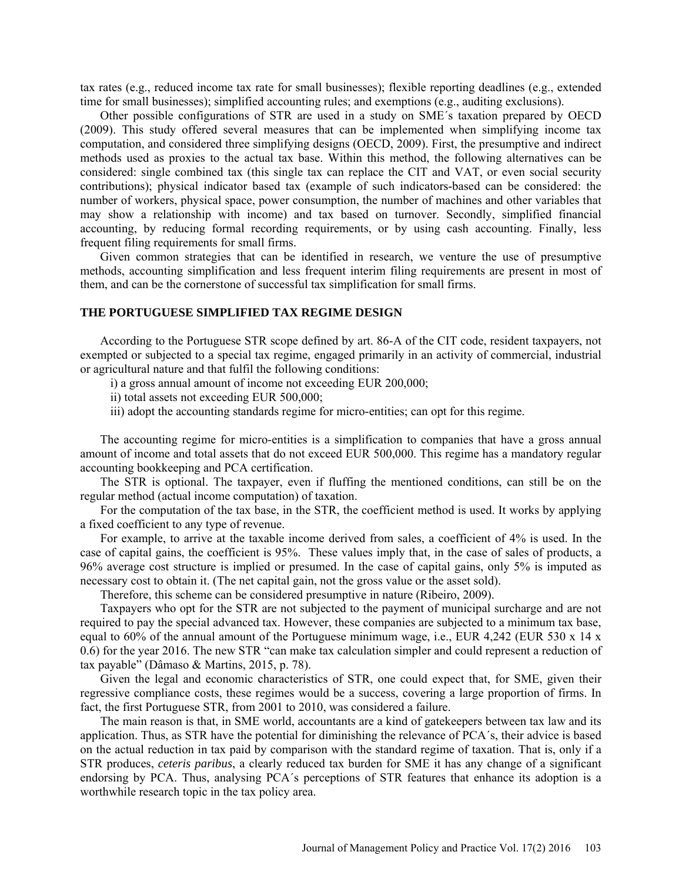tax rates (e.g., reduced income tax rate for small businesses); flexible reporting deadlines (e.g., extended time for small businesses); simplified accounting rules; and exemptions (e.g., auditing exclusions).

Other possible configurations of STR are used in a study on SME´s taxation prepared by OECD (2009). This study offered several measures that can be implemented when simplifying income tax computation, and considered three simplifying designs [\(OECD, 2009\)](#page-12-5). First, the presumptive and indirect methods used as proxies to the actual tax base. Within this method, the following alternatives can be considered: single combined tax (this single tax can replace the CIT and VAT, or even social security contributions); physical indicator based tax (example of such indicators-based can be considered: the number of workers, physical space, power consumption, the number of machines and other variables that may show a relationship with income) and tax based on turnover. Secondly, simplified financial accounting, by reducing formal recording requirements, or by using cash accounting. Finally, less frequent filing requirements for small firms.

Given common strategies that can be identified in research, we venture the use of presumptive methods, accounting simplification and less frequent interim filing requirements are present in most of them, and can be the cornerstone of successful tax simplification for small firms.

## **THE PORTUGUESE SIMPLIFIED TAX REGIME DESIGN**

According to the Portuguese STR scope defined by art. 86-A of the CIT code, resident taxpayers, not exempted or subjected to a special tax regime, engaged primarily in an activity of commercial, industrial or agricultural nature and that fulfil the following conditions:

- i) a gross annual amount of income not exceeding EUR 200,000;
- ii) total assets not exceeding EUR 500,000;
- iii) adopt the accounting standards regime for micro-entities; can opt for this regime.

The accounting regime for micro-entities is a simplification to companies that have a gross annual amount of income and total assets that do not exceed EUR 500,000. This regime has a mandatory regular accounting bookkeeping and PCA certification.

The STR is optional. The taxpayer, even if fluffing the mentioned conditions, can still be on the regular method (actual income computation) of taxation.

For the computation of the tax base, in the STR, the coefficient method is used. It works by applying a fixed coefficient to any type of revenue.

For example, to arrive at the taxable income derived from sales, a coefficient of 4% is used. In the case of capital gains, the coefficient is 95%. These values imply that, in the case of sales of products, a 96% average cost structure is implied or presumed. In the case of capital gains, only 5% is imputed as necessary cost to obtain it. (The net capital gain, not the gross value or the asset sold).

Therefore, this scheme can be considered presumptive in nature [\(Ribeiro, 2009\)](#page-12-4).

Taxpayers who opt for the STR are not subjected to the payment of municipal surcharge and are not required to pay the special advanced tax. However, these companies are subjected to a minimum tax base, equal to 60% of the annual amount of the Portuguese minimum wage, i.e., EUR 4,242 (EUR 530 x 14 x 0.6) for the year 2016. The new STR "can make tax calculation simpler and could represent a reduction of tax payable" [\(Dâmaso & Martins, 2015, p. 78\)](#page-12-10).

Given the legal and economic characteristics of STR, one could expect that, for SME, given their regressive compliance costs, these regimes would be a success, covering a large proportion of firms. In fact, the first Portuguese STR, from 2001 to 2010, was considered a failure.

The main reason is that, in SME world, accountants are a kind of gatekeepers between tax law and its application. Thus, as STR have the potential for diminishing the relevance of PCA´s, their advice is based on the actual reduction in tax paid by comparison with the standard regime of taxation. That is, only if a STR produces, *ceteris paribus*, a clearly reduced tax burden for SME it has any change of a significant endorsing by PCA. Thus, analysing PCA´s perceptions of STR features that enhance its adoption is a worthwhile research topic in the tax policy area.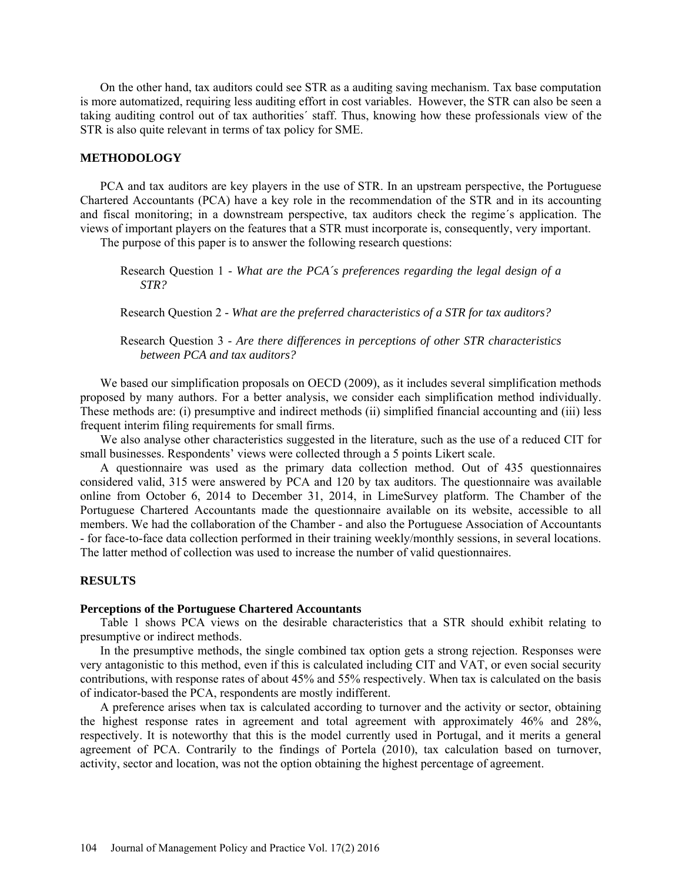On the other hand, tax auditors could see STR as a auditing saving mechanism. Tax base computation is more automatized, requiring less auditing effort in cost variables. However, the STR can also be seen a taking auditing control out of tax authorities´ staff. Thus, knowing how these professionals view of the STR is also quite relevant in terms of tax policy for SME.

### **METHODOLOGY**

PCA and tax auditors are key players in the use of STR. In an upstream perspective, the Portuguese Chartered Accountants (PCA) have a key role in the recommendation of the STR and in its accounting and fiscal monitoring; in a downstream perspective, tax auditors check the regime´s application. The views of important players on the features that a STR must incorporate is, consequently, very important.

The purpose of this paper is to answer the following research questions:

Research Question 1 - *What are the PCA´s preferences regarding the legal design of a STR?*

Research Question 2 - *What are the preferred characteristics of a STR for tax auditors?*

Research Question 3 - *Are there differences in perceptions of other STR characteristics between PCA and tax auditors?*

We based our simplification proposals on [OECD \(2009\)](#page-12-5), as it includes several simplification methods proposed by many authors. For a better analysis, we consider each simplification method individually. These methods are: (i) presumptive and indirect methods (ii) simplified financial accounting and (iii) less frequent interim filing requirements for small firms.

We also analyse other characteristics suggested in the literature, such as the use of a reduced CIT for small businesses. Respondents' views were collected through a 5 points Likert scale.

A questionnaire was used as the primary data collection method. Out of 435 questionnaires considered valid, 315 were answered by PCA and 120 by tax auditors. The questionnaire was available online from October 6, 2014 to December 31, 2014, in LimeSurvey platform. The Chamber of the Portuguese Chartered Accountants made the questionnaire available on its website, accessible to all members. We had the collaboration of the Chamber - and also the Portuguese Association of Accountants - for face-to-face data collection performed in their training weekly/monthly sessions, in several locations. The latter method of collection was used to increase the number of valid questionnaires.

### **RESULTS**

### **Perceptions of the Portuguese Chartered Accountants**

Table 1 shows PCA views on the desirable characteristics that a STR should exhibit relating to presumptive or indirect methods.

In the presumptive methods, the single combined tax option gets a strong rejection. Responses were very antagonistic to this method, even if this is calculated including CIT and VAT, or even social security contributions, with response rates of about 45% and 55% respectively. When tax is calculated on the basis of indicator-based the PCA, respondents are mostly indifferent.

A preference arises when tax is calculated according to turnover and the activity or sector, obtaining the highest response rates in agreement and total agreement with approximately 46% and 28%, respectively. It is noteworthy that this is the model currently used in Portugal, and it merits a general agreement of PCA. Contrarily to the findings of [Portela \(2010\)](#page-12-11), tax calculation based on turnover, activity, sector and location, was not the option obtaining the highest percentage of agreement.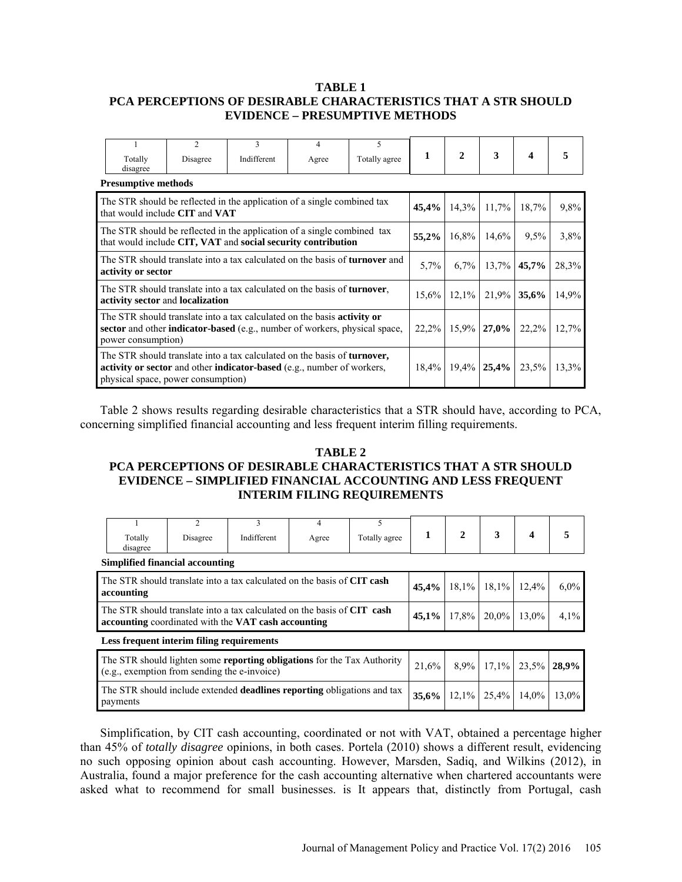## **TABLE 1 PCA PERCEPTIONS OF DESIRABLE CHARACTERISTICS THAT A STR SHOULD EVIDENCE – PRESUMPTIVE METHODS**

|                                                                                                                                                                                           | Totally<br>disagree                                                                                                                                                                              | $\mathfrak{D}$<br>Disagree                                                                                           | 3<br>Indifferent | 4<br>Agree | 5<br>Totally agree         | 1        | $\mathbf{2}$ | 3                    | 4                                        |         |
|-------------------------------------------------------------------------------------------------------------------------------------------------------------------------------------------|--------------------------------------------------------------------------------------------------------------------------------------------------------------------------------------------------|----------------------------------------------------------------------------------------------------------------------|------------------|------------|----------------------------|----------|--------------|----------------------|------------------------------------------|---------|
|                                                                                                                                                                                           | <b>Presumptive methods</b>                                                                                                                                                                       |                                                                                                                      |                  |            |                            |          |              |                      |                                          |         |
| The STR should be reflected in the application of a single combined tax<br>that would include CIT and VAT                                                                                 |                                                                                                                                                                                                  |                                                                                                                      |                  |            |                            |          |              | $14.3\%$ 11.7%       | 18,7%                                    | 9.8%    |
| The STR should be reflected in the application of a single combined tax<br>that would include CIT, VAT and social security contribution                                                   |                                                                                                                                                                                                  |                                                                                                                      |                  |            |                            |          | 16,8%        | 14,6%                | $9.5\%$                                  | $3.8\%$ |
|                                                                                                                                                                                           | activity or sector                                                                                                                                                                               | The STR should translate into a tax calculated on the basis of <b>turnover</b> and                                   |                  |            |                            | $5.7\%$  |              | $6,7\%$ 13,7% 45,7%  |                                          | 28,3%   |
|                                                                                                                                                                                           |                                                                                                                                                                                                  | The STR should translate into a tax calculated on the basis of <b>turnover</b> ,<br>activity sector and localization |                  |            |                            | $15,6\%$ |              | $12,1\%$ 21,9% 35,6% |                                          | 14,9%   |
| The STR should translate into a tax calculated on the basis <b>activity or</b><br>sector and other <b>indicator-based</b> (e.g., number of workers, physical space,<br>power consumption) |                                                                                                                                                                                                  |                                                                                                                      |                  |            |                            |          |              |                      | $22,2\%$   15,9%   27,0%   22,2%   12,7% |         |
|                                                                                                                                                                                           | The STR should translate into a tax calculated on the basis of <b>turnover</b> ,<br>activity or sector and other indicator-based (e.g., number of workers,<br>physical space, power consumption) |                                                                                                                      |                  |            | $18,4\%$ 19,4% 25,4% 23,5% | 13.3%    |              |                      |                                          |         |

Table 2 shows results regarding desirable characteristics that a STR should have, according to PCA, concerning simplified financial accounting and less frequent interim filling requirements.

# **TABLE 2 PCA PERCEPTIONS OF DESIRABLE CHARACTERISTICS THAT A STR SHOULD EVIDENCE – SIMPLIFIED FINANCIAL ACCOUNTING AND LESS FREQUENT INTERIM FILING REQUIREMENTS**

| Totally<br>disagree                                                                                                            | C<br>Disagree                             | 3<br>Indifferent                                                                                                               | 4<br>Agree | 5<br>Totally agree | 1              | $2^{\circ}$ | 3        | $\boldsymbol{4}$          | 5     |
|--------------------------------------------------------------------------------------------------------------------------------|-------------------------------------------|--------------------------------------------------------------------------------------------------------------------------------|------------|--------------------|----------------|-------------|----------|---------------------------|-------|
|                                                                                                                                | Simplified financial accounting           |                                                                                                                                |            |                    |                |             |          |                           |       |
| accounting                                                                                                                     |                                           | The STR should translate into a tax calculated on the basis of CIT cash                                                        | 45,4%      |                    | $18,1\%$ 18,1% | 12.4%       | $6.0\%$  |                           |       |
|                                                                                                                                |                                           | The STR should translate into a tax calculated on the basis of CIT cash<br>accounting coordinated with the VAT cash accounting |            |                    | 45,1%          | $17.8\%$    | $20.0\%$ | 13.0%                     | 4,1%  |
|                                                                                                                                | Less frequent interim filing requirements |                                                                                                                                |            |                    |                |             |          |                           |       |
| The STR should lighten some <b>reporting obligations</b> for the Tax Authority<br>(e.g., exemption from sending the e-invoice) |                                           |                                                                                                                                |            |                    |                |             |          | $8,9\%$ 17,1% 23,5% 28,9% |       |
| The STR should include extended <b>deadlines reporting</b> obligations and tax<br>35,6%<br>payments                            |                                           |                                                                                                                                |            |                    |                | 12,1%       | 25,4%    | $14.0\%$                  | 13,0% |

Simplification, by CIT cash accounting, coordinated or not with VAT, obtained a percentage higher than 45% of *totally disagree* opinions, in both cases. [Portela \(2010\)](#page-12-11) shows a different result, evidencing no such opposing opinion about cash accounting. However, [Marsden, Sadiq, and Wilkins \(2012\)](#page-12-12), in Australia, found a major preference for the cash accounting alternative when chartered accountants were asked what to recommend for small businesses. is It appears that, distinctly from Portugal, cash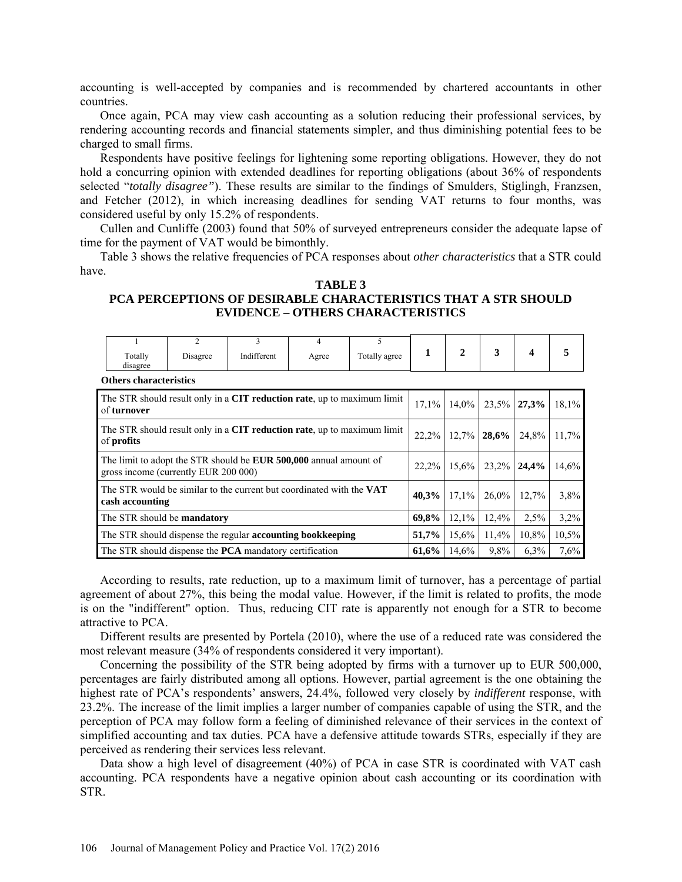accounting is well-accepted by companies and is recommended by chartered accountants in other countries.

Once again, PCA may view cash accounting as a solution reducing their professional services, by rendering accounting records and financial statements simpler, and thus diminishing potential fees to be charged to small firms.

Respondents have positive feelings for lightening some reporting obligations. However, they do not hold a concurring opinion with extended deadlines for reporting obligations (about 36% of respondents selected "*totally disagree"*). These results are similar to the findings of [Smulders, Stiglingh, Franzsen,](#page-12-13) [and Fetcher \(2012\)](#page-12-13), in which increasing deadlines for sending VAT returns to four months, was considered useful by only 15.2% of respondents.

[Cullen and Cunliffe \(2003\)](#page-11-2) found that 50% of surveyed entrepreneurs consider the adequate lapse of time for the payment of VAT would be bimonthly.

Table 3 shows the relative frequencies of PCA responses about *other characteristics* that a STR could have.

### **TABLE 3**

# **PCA PERCEPTIONS OF DESIRABLE CHARACTERISTICS THAT A STR SHOULD EVIDENCE – OTHERS CHARACTERISTICS**

|                                                                                                | Totally<br>disagree                                               | $\overline{2}$<br>Disagree                                                                                       | 3<br>Indifferent | 4<br>Agree | 5<br>Totally agree | 1     | $\mathbf{2}$   | 3              | $\overline{\mathbf{4}}$ |       |
|------------------------------------------------------------------------------------------------|-------------------------------------------------------------------|------------------------------------------------------------------------------------------------------------------|------------------|------------|--------------------|-------|----------------|----------------|-------------------------|-------|
|                                                                                                | <b>Others characteristics</b>                                     |                                                                                                                  |                  |            |                    |       |                |                |                         |       |
| The STR should result only in a <b>CIT reduction rate</b> , up to maximum limit<br>of turnover |                                                                   |                                                                                                                  |                  |            |                    |       | 14,0%<br>17.1% | $23,5\%$ 27,3% |                         | 18,1% |
| The STR should result only in a CIT reduction rate, up to maximum limit<br>of <b>profits</b>   |                                                                   |                                                                                                                  |                  |            |                    |       | 22,2%<br>12,7% | 28,6%          | 24,8%                   | 11,7% |
|                                                                                                |                                                                   | The limit to adopt the STR should be <b>EUR 500,000</b> annual amount of<br>gross income (currently EUR 200 000) |                  |            |                    | 22,2% | 15,6%          | 23,2% 24,4%    |                         | 14,6% |
| The STR would be similar to the current but coordinated with the VAT<br>cash accounting        |                                                                   |                                                                                                                  |                  |            |                    | 40,3% | 17.1%          | $26,0\%$       | 12,7%                   | 3,8%  |
| The STR should be <b>mandatory</b>                                                             |                                                                   |                                                                                                                  |                  |            |                    | 69,8% | 12.1%          | 12,4%          | 2.5%                    | 3,2%  |
|                                                                                                | The STR should dispense the regular <b>accounting bookkeeping</b> | 51,7%                                                                                                            | 15,6%            | 11,4%      | 10,8%              | 10,5% |                |                |                         |       |
|                                                                                                |                                                                   | The STR should dispense the <b>PCA</b> mandatory certification                                                   |                  |            |                    | 61,6% | 14,6%          | 9.8%           | $6.3\%$                 | 7,6%  |

According to results, rate reduction, up to a maximum limit of turnover, has a percentage of partial agreement of about 27%, this being the modal value. However, if the limit is related to profits, the mode is on the "indifferent" option. Thus, reducing CIT rate is apparently not enough for a STR to become attractive to PCA.

Different results are presented by [Portela \(2010\)](#page-12-13), where the use of a reduced rate was considered the most relevant measure (34% of respondents considered it very important).

Concerning the possibility of the STR being adopted by firms with a turnover up to EUR 500,000, percentages are fairly distributed among all options. However, partial agreement is the one obtaining the highest rate of PCA's respondents' answers, 24.4%, followed very closely by *indifferent* response, with 23.2%. The increase of the limit implies a larger number of companies capable of using the STR, and the perception of PCA may follow form a feeling of diminished relevance of their services in the context of simplified accounting and tax duties. PCA have a defensive attitude towards STRs, especially if they are perceived as rendering their services less relevant.

Data show a high level of disagreement (40%) of PCA in case STR is coordinated with VAT cash accounting. PCA respondents have a negative opinion about cash accounting or its coordination with STR.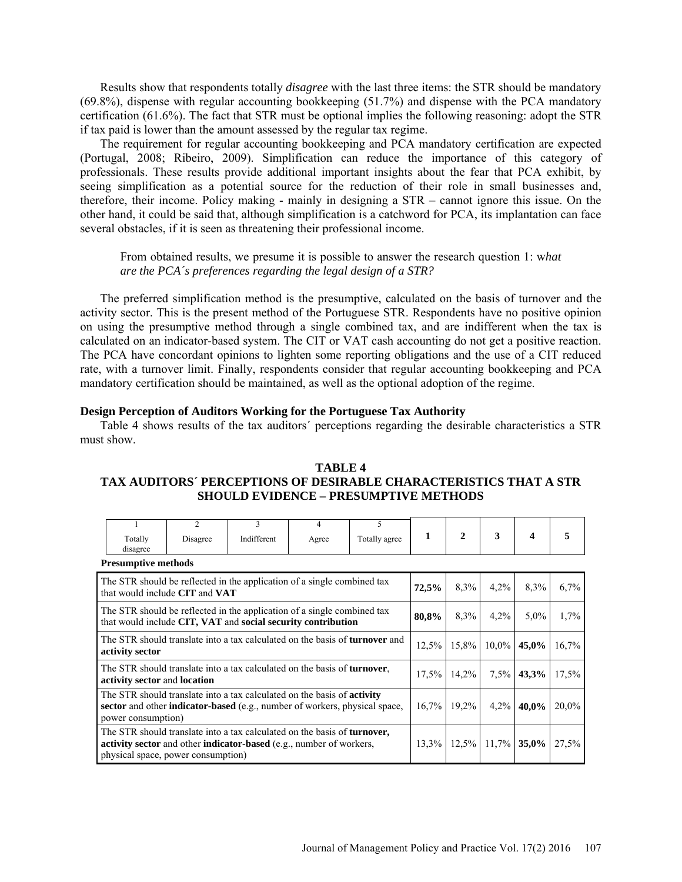Results show that respondents totally *disagree* with the last three items: the STR should be mandatory (69.8%), dispense with regular accounting bookkeeping (51.7%) and dispense with the PCA mandatory certification (61.6%). The fact that STR must be optional implies the following reasoning: adopt the STR if tax paid is lower than the amount assessed by the regular tax regime.

The requirement for regular accounting bookkeeping and PCA mandatory certification are expected [\(Portugal, 2008;](#page-12-14) [Ribeiro, 2009\)](#page-12-4). Simplification can reduce the importance of this category of professionals. These results provide additional important insights about the fear that PCA exhibit, by seeing simplification as a potential source for the reduction of their role in small businesses and, therefore, their income. Policy making - mainly in designing a STR – cannot ignore this issue. On the other hand, it could be said that, although simplification is a catchword for PCA, its implantation can face several obstacles, if it is seen as threatening their professional income.

From obtained results, we presume it is possible to answer the research question 1: w*hat are the PCA´s preferences regarding the legal design of a STR?*

The preferred simplification method is the presumptive, calculated on the basis of turnover and the activity sector. This is the present method of the Portuguese STR. Respondents have no positive opinion on using the presumptive method through a single combined tax, and are indifferent when the tax is calculated on an indicator-based system. The CIT or VAT cash accounting do not get a positive reaction. The PCA have concordant opinions to lighten some reporting obligations and the use of a CIT reduced rate, with a turnover limit. Finally, respondents consider that regular accounting bookkeeping and PCA mandatory certification should be maintained, as well as the optional adoption of the regime.

## **Design Perception of Auditors Working for the Portuguese Tax Authority**

Table 4 shows results of the tax auditors´ perceptions regarding the desirable characteristics a STR must show.

# **TABLE 4 TAX AUDITORS´ PERCEPTIONS OF DESIRABLE CHARACTERISTICS THAT A STR SHOULD EVIDENCE – PRESUMPTIVE METHODS**

|                                                                                                                                                                                               |                                                                                                           | $\mathfrak{D}$ | 3                                                                                | 4     | 5             |         |                |          |                                                |       |
|-----------------------------------------------------------------------------------------------------------------------------------------------------------------------------------------------|-----------------------------------------------------------------------------------------------------------|----------------|----------------------------------------------------------------------------------|-------|---------------|---------|----------------|----------|------------------------------------------------|-------|
|                                                                                                                                                                                               | Totally<br>disagree                                                                                       | Disagree       | Indifferent                                                                      | Agree | Totally agree | 1       | $\mathbf{2}$   | 3        | $\boldsymbol{4}$                               |       |
|                                                                                                                                                                                               | <b>Presumptive methods</b>                                                                                |                |                                                                                  |       |               |         |                |          |                                                |       |
|                                                                                                                                                                                               | The STR should be reflected in the application of a single combined tax<br>that would include CIT and VAT | 72,5%          | 8,3%                                                                             | 4,2%  | 8,3%          | $6.7\%$ |                |          |                                                |       |
| The STR should be reflected in the application of a single combined tax<br>that would include CIT, VAT and social security contribution                                                       |                                                                                                           |                |                                                                                  |       |               |         | 8,3%           | 4,2%     | $5.0\%$                                        | 1,7%  |
| The STR should translate into a tax calculated on the basis of <b>turnover</b> and<br>activity sector                                                                                         |                                                                                                           |                |                                                                                  |       |               | 12,5%   | $15,8\%$       | $10,0\%$ | 45,0%                                          | 16,7% |
|                                                                                                                                                                                               | activity sector and location                                                                              |                | The STR should translate into a tax calculated on the basis of <b>turnover</b> , |       |               |         | $17.5\%$ 14.2% |          | $7.5\%$ 43.3%                                  | 17,5% |
| The STR should translate into a tax calculated on the basis of <b>activity</b><br>sector and other <b>indicator-based</b> (e.g., number of workers, physical space,<br>power consumption)     |                                                                                                           |                |                                                                                  |       |               |         | $16,7\%$ 19.2% | $4.2\%$  | 40,0%                                          | 20,0% |
| The STR should translate into a tax calculated on the basis of <b>turnover</b> ,<br>activity sector and other indicator-based (e.g., number of workers,<br>physical space, power consumption) |                                                                                                           |                |                                                                                  |       |               |         |                |          | $13,3\%$   $12,5\%$   $11,7\%$   <b>35,0</b> % | 27,5% |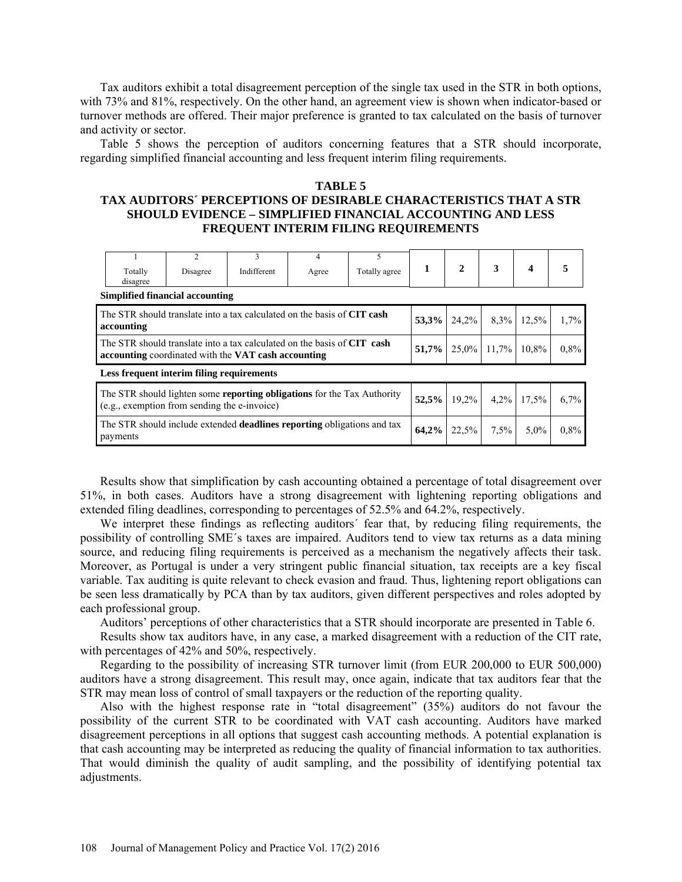Tax auditors exhibit a total disagreement perception of the single tax used in the STR in both options, with 73% and 81%, respectively. On the other hand, an agreement view is shown when indicator-based or turnover methods are offered. Their major preference is granted to tax calculated on the basis of turnover and activity or sector.

Table 5 shows the perception of auditors concerning features that a STR should incorporate, regarding simplified financial accounting and less frequent interim filing requirements.

# **TABLE 5 TAX AUDITORS´ PERCEPTIONS OF DESIRABLE CHARACTERISTICS THAT A STR SHOULD EVIDENCE – SIMPLIFIED FINANCIAL ACCOUNTING AND LESS FREQUENT INTERIM FILING REQUIREMENTS**

|                                                                                                                                | Totally<br>disagree                                                                                                            | $\mathfrak{D}$<br>Disagree                                              | 3<br>Indifferent | 4<br>Agree | 5<br>Totally agree | $\mathbf{1}$ | $\mathbf{2}$ | 3                     | 4 | 5    |
|--------------------------------------------------------------------------------------------------------------------------------|--------------------------------------------------------------------------------------------------------------------------------|-------------------------------------------------------------------------|------------------|------------|--------------------|--------------|--------------|-----------------------|---|------|
|                                                                                                                                |                                                                                                                                | <b>Simplified financial accounting</b>                                  |                  |            |                    |              |              |                       |   |      |
|                                                                                                                                | accounting                                                                                                                     | The STR should translate into a tax calculated on the basis of CIT cash | 53,3%            |            | 24,2% 8,3% 12,5%   |              | 1,7%         |                       |   |      |
|                                                                                                                                | The STR should translate into a tax calculated on the basis of CIT cash<br>accounting coordinated with the VAT cash accounting |                                                                         | 51,7%            |            | $25.0\%$ 11.7%     | 10,8%        | 0,8%         |                       |   |      |
|                                                                                                                                |                                                                                                                                | Less frequent interim filing requirements                               |                  |            |                    |              |              |                       |   |      |
| The STR should lighten some <b>reporting obligations</b> for the Tax Authority<br>(e.g., exemption from sending the e-invoice) |                                                                                                                                |                                                                         |                  |            |                    | 52,5%        |              | $19,2\%$ 4,2\% 17,5\% |   | 6,7% |
|                                                                                                                                | The STR should include extended <b>deadlines reporting</b> obligations and tax<br>payments                                     | 64,2%                                                                   | 22.5%            | 7.5%       | 5,0%               | $0.8\%$      |              |                       |   |      |

Results show that simplification by cash accounting obtained a percentage of total disagreement over 51%, in both cases. Auditors have a strong disagreement with lightening reporting obligations and extended filing deadlines, corresponding to percentages of 52.5% and 64.2%, respectively.

We interpret these findings as reflecting auditors´ fear that, by reducing filing requirements, the possibility of controlling SME´s taxes are impaired. Auditors tend to view tax returns as a data mining source, and reducing filing requirements is perceived as a mechanism the negatively affects their task. Moreover, as Portugal is under a very stringent public financial situation, tax receipts are a key fiscal variable. Tax auditing is quite relevant to check evasion and fraud. Thus, lightening report obligations can be seen less dramatically by PCA than by tax auditors, given different perspectives and roles adopted by each professional group.

Auditors' perceptions of other characteristics that a STR should incorporate are presented in Table 6.

Results show tax auditors have, in any case, a marked disagreement with a reduction of the CIT rate, with percentages of 42% and 50%, respectively.

Regarding to the possibility of increasing STR turnover limit (from EUR 200,000 to EUR 500,000) auditors have a strong disagreement. This result may, once again, indicate that tax auditors fear that the STR may mean loss of control of small taxpayers or the reduction of the reporting quality.

Also with the highest response rate in "total disagreement" (35%) auditors do not favour the possibility of the current STR to be coordinated with VAT cash accounting. Auditors have marked disagreement perceptions in all options that suggest cash accounting methods. A potential explanation is that cash accounting may be interpreted as reducing the quality of financial information to tax authorities. That would diminish the quality of audit sampling, and the possibility of identifying potential tax adjustments.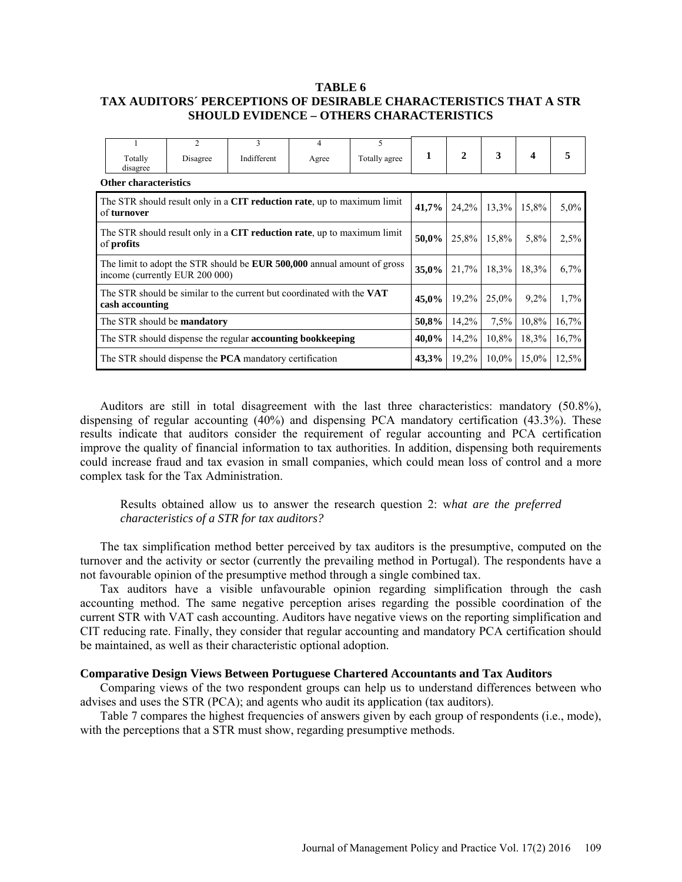## **TABLE 6 TAX AUDITORS´ PERCEPTIONS OF DESIRABLE CHARACTERISTICS THAT A STR SHOULD EVIDENCE – OTHERS CHARACTERISTICS**

|                                                                                              | Totally<br>disagree                                                                    | $\overline{c}$<br>Disagree     | 3<br>Indifferent                                                               | 4<br>Agree | 5<br>Totally agree | 1        | 2        | 3        | $\boldsymbol{4}$ | 5       |
|----------------------------------------------------------------------------------------------|----------------------------------------------------------------------------------------|--------------------------------|--------------------------------------------------------------------------------|------------|--------------------|----------|----------|----------|------------------|---------|
|                                                                                              | <b>Other characteristics</b>                                                           |                                |                                                                                |            |                    |          |          |          |                  |         |
|                                                                                              | The STR should result only in a CIT reduction rate, up to maximum limit<br>of turnover | 41,7%                          | 24,2%                                                                          | 13,3%      | 15,8%              | $5.0\%$  |          |          |                  |         |
| The STR should result only in a CIT reduction rate, up to maximum limit<br>of <b>profits</b> |                                                                                        |                                |                                                                                |            |                    |          | 25,8%    | 15,8%    | 5,8%             | 2,5%    |
|                                                                                              |                                                                                        | income (currently EUR 200 000) | The limit to adopt the STR should be <b>EUR 500,000</b> annual amount of gross |            |                    | 35,0%    | 21,7%    | 18,3%    | 18,3%            | $6.7\%$ |
|                                                                                              | cash accounting                                                                        |                                | The STR should be similar to the current but coordinated with the VAT          |            |                    | $45,0\%$ | $19.2\%$ | $25.0\%$ | $9.2\%$          | $1.7\%$ |
| The STR should be <b>mandatory</b>                                                           |                                                                                        |                                |                                                                                |            |                    | 50,8%    | 14,2%    | 7.5%     | 10,8%            | 16,7%   |
| 40,0%<br>The STR should dispense the regular <b>accounting bookkeeping</b>                   |                                                                                        |                                |                                                                                |            |                    |          | 14,2%    | 10.8%    | 18,3%            | 16,7%   |
|                                                                                              | The STR should dispense the <b>PCA</b> mandatory certification<br>43,3%                |                                |                                                                                |            |                    |          |          | $10.0\%$ | 15,0%            | 12,5%   |

Auditors are still in total disagreement with the last three characteristics: mandatory (50.8%), dispensing of regular accounting (40%) and dispensing PCA mandatory certification (43.3%). These results indicate that auditors consider the requirement of regular accounting and PCA certification improve the quality of financial information to tax authorities. In addition, dispensing both requirements could increase fraud and tax evasion in small companies, which could mean loss of control and a more complex task for the Tax Administration.

Results obtained allow us to answer the research question 2: w*hat are the preferred characteristics of a STR for tax auditors?*

The tax simplification method better perceived by tax auditors is the presumptive, computed on the turnover and the activity or sector (currently the prevailing method in Portugal). The respondents have a not favourable opinion of the presumptive method through a single combined tax.

Tax auditors have a visible unfavourable opinion regarding simplification through the cash accounting method. The same negative perception arises regarding the possible coordination of the current STR with VAT cash accounting. Auditors have negative views on the reporting simplification and CIT reducing rate. Finally, they consider that regular accounting and mandatory PCA certification should be maintained, as well as their characteristic optional adoption.

# **Comparative Design Views Between Portuguese Chartered Accountants and Tax Auditors**

Comparing views of the two respondent groups can help us to understand differences between who advises and uses the STR (PCA); and agents who audit its application (tax auditors).

Table 7 compares the highest frequencies of answers given by each group of respondents (i.e., mode), with the perceptions that a STR must show, regarding presumptive methods.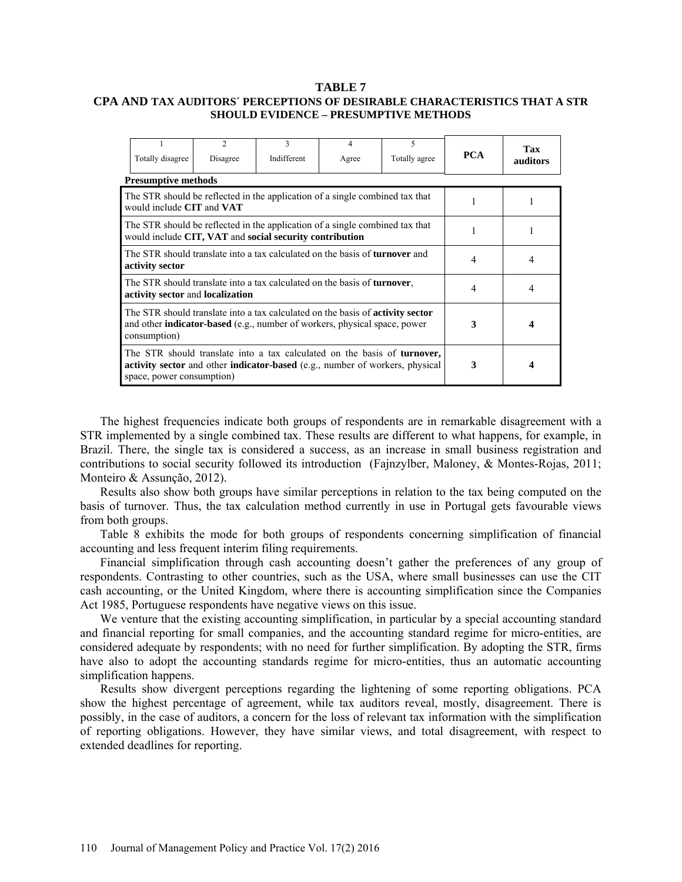## **TABLE 7**

## **CPA AND TAX AUDITORS´ PERCEPTIONS OF DESIRABLE CHARACTERISTICS THAT A STR SHOULD EVIDENCE – PRESUMPTIVE METHODS**

| Totally disagree                                                                                                                                                                          | $\mathfrak{D}$<br>Disagree                                                                                                                               | 3<br>Indifferent | 4<br>Agree | 5<br>Totally agree | <b>PCA</b> | Tax<br>auditors |
|-------------------------------------------------------------------------------------------------------------------------------------------------------------------------------------------|----------------------------------------------------------------------------------------------------------------------------------------------------------|------------------|------------|--------------------|------------|-----------------|
| <b>Presumptive methods</b>                                                                                                                                                                |                                                                                                                                                          |                  |            |                    |            |                 |
| The STR should be reflected in the application of a single combined tax that<br>would include CIT and VAT                                                                                 |                                                                                                                                                          |                  |            |                    |            |                 |
| The STR should be reflected in the application of a single combined tax that<br>would include CIT, VAT and social security contribution                                                   |                                                                                                                                                          |                  |            |                    |            |                 |
| The STR should translate into a tax calculated on the basis of <b>turnover</b> and<br>activity sector                                                                                     |                                                                                                                                                          | 4                | 4          |                    |            |                 |
| activity sector and localization                                                                                                                                                          | The STR should translate into a tax calculated on the basis of <b>turnover</b> ,                                                                         |                  |            |                    | 4          | 4               |
| The STR should translate into a tax calculated on the basis of <b>activity sector</b><br>and other <b>indicator-based</b> (e.g., number of workers, physical space, power<br>consumption) | 3                                                                                                                                                        |                  |            |                    |            |                 |
| space, power consumption)                                                                                                                                                                 | The STR should translate into a tax calculated on the basis of turnover,<br>activity sector and other indicator-based (e.g., number of workers, physical | 3                |            |                    |            |                 |

The highest frequencies indicate both groups of respondents are in remarkable disagreement with a STR implemented by a single combined tax. These results are different to what happens, for example, in Brazil. There, the single tax is considered a success, as an increase in small business registration and contributions to social security followed its introduction [\(Fajnzylber, Maloney, & Montes-Rojas, 2011;](#page-12-15) [Monteiro & Assunção, 2012\)](#page-12-16).

Results also show both groups have similar perceptions in relation to the tax being computed on the basis of turnover. Thus, the tax calculation method currently in use in Portugal gets favourable views from both groups.

Table 8 exhibits the mode for both groups of respondents concerning simplification of financial accounting and less frequent interim filing requirements.

Financial simplification through cash accounting doesn't gather the preferences of any group of respondents. Contrasting to other countries, such as the USA, where small businesses can use the CIT cash accounting, or the United Kingdom, where there is accounting simplification since the Companies Act 1985, Portuguese respondents have negative views on this issue.

We venture that the existing accounting simplification, in particular by a special accounting standard and financial reporting for small companies, and the accounting standard regime for micro-entities, are considered adequate by respondents; with no need for further simplification. By adopting the STR, firms have also to adopt the accounting standards regime for micro-entities, thus an automatic accounting simplification happens.

Results show divergent perceptions regarding the lightening of some reporting obligations. PCA show the highest percentage of agreement, while tax auditors reveal, mostly, disagreement. There is possibly, in the case of auditors, a concern for the loss of relevant tax information with the simplification of reporting obligations. However, they have similar views, and total disagreement, with respect to extended deadlines for reporting.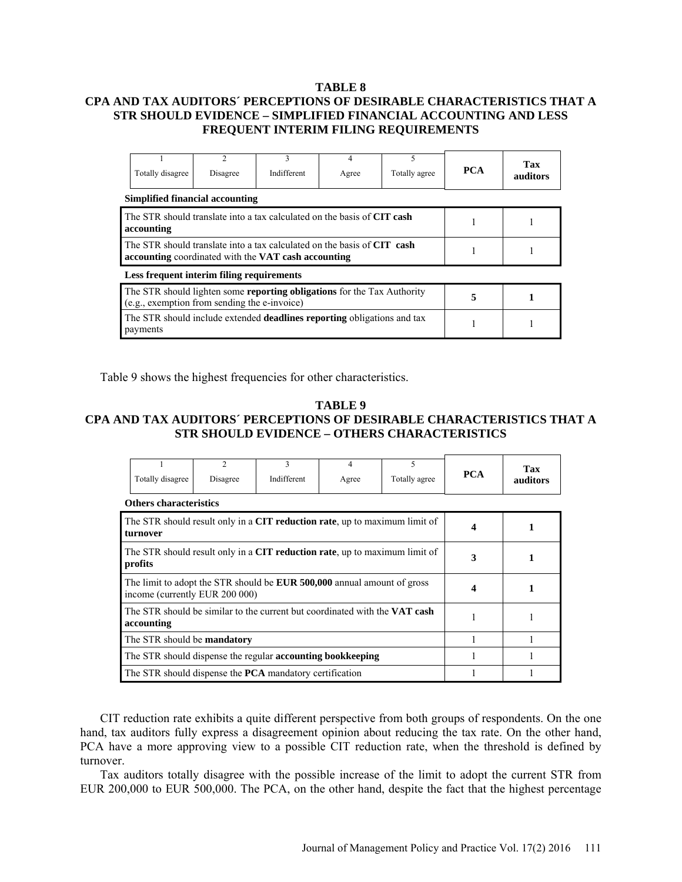# **TABLE 8 CPA AND TAX AUDITORS´ PERCEPTIONS OF DESIRABLE CHARACTERISTICS THAT A STR SHOULD EVIDENCE – SIMPLIFIED FINANCIAL ACCOUNTING AND LESS FREQUENT INTERIM FILING REQUIREMENTS**

| Totally disagree                                                                                                               | $\mathfrak{D}$<br>Disagree | 3<br>Indifferent | 4<br>Agree | 5<br>Totally agree | <b>PCA</b> | Tax<br>auditors |
|--------------------------------------------------------------------------------------------------------------------------------|----------------------------|------------------|------------|--------------------|------------|-----------------|
| Simplified financial accounting                                                                                                |                            |                  |            |                    |            |                 |
| The STR should translate into a tax calculated on the basis of CIT cash<br>accounting                                          |                            |                  |            |                    |            |                 |
| The STR should translate into a tax calculated on the basis of CIT cash<br>accounting coordinated with the VAT cash accounting |                            |                  |            |                    |            |                 |
| Less frequent interim filing requirements                                                                                      |                            |                  |            |                    |            |                 |
| The STR should lighten some <b>reporting obligations</b> for the Tax Authority<br>(e.g., exemption from sending the e-invoice) | 5                          |                  |            |                    |            |                 |
| The STR should include extended <b>deadlines reporting</b> obligations and tax<br>payments                                     |                            |                  |            |                    |            |                 |

Table 9 shows the highest frequencies for other characteristics.

# **TABLE 9 CPA AND TAX AUDITORS´ PERCEPTIONS OF DESIRABLE CHARACTERISTICS THAT A STR SHOULD EVIDENCE – OTHERS CHARACTERISTICS**

| Totally disagree                                                                         | $\mathfrak{D}$<br>Disagree                                                                                       | 3<br>Indifferent | 4<br>Agree | 5<br>Totally agree | <b>PCA</b> | Tax<br>auditors |
|------------------------------------------------------------------------------------------|------------------------------------------------------------------------------------------------------------------|------------------|------------|--------------------|------------|-----------------|
| <b>Others characteristics</b>                                                            |                                                                                                                  |                  |            |                    |            |                 |
| The STR should result only in a CIT reduction rate, up to maximum limit of<br>turnover   |                                                                                                                  | 1                |            |                    |            |                 |
| The STR should result only in a CIT reduction rate, up to maximum limit of<br>profits    | 3                                                                                                                | 1                |            |                    |            |                 |
|                                                                                          | The limit to adopt the STR should be <b>EUR 500,000</b> annual amount of gross<br>income (currently EUR 200 000) |                  |            |                    |            | 1               |
| The STR should be similar to the current but coordinated with the VAT cash<br>accounting |                                                                                                                  |                  |            |                    |            |                 |
| The STR should be <b>mandatory</b>                                                       |                                                                                                                  |                  |            |                    |            |                 |
| The STR should dispense the regular <b>accounting bookkeeping</b>                        |                                                                                                                  |                  |            |                    |            |                 |
|                                                                                          | The STR should dispense the <b>PCA</b> mandatory certification                                                   |                  |            |                    |            |                 |

CIT reduction rate exhibits a quite different perspective from both groups of respondents. On the one hand, tax auditors fully express a disagreement opinion about reducing the tax rate. On the other hand, PCA have a more approving view to a possible CIT reduction rate, when the threshold is defined by turnover.

Tax auditors totally disagree with the possible increase of the limit to adopt the current STR from EUR 200,000 to EUR 500,000. The PCA, on the other hand, despite the fact that the highest percentage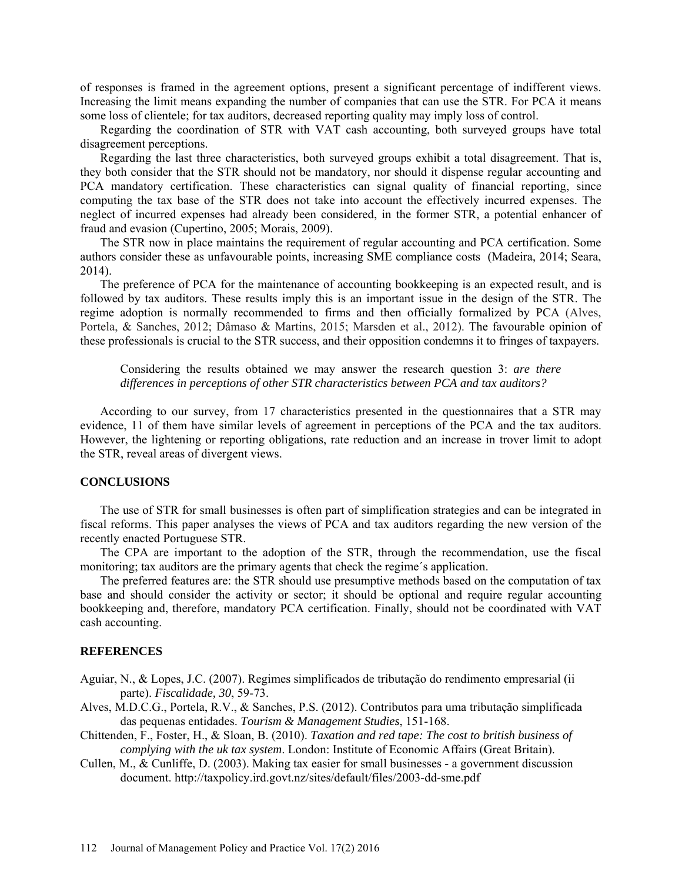of responses is framed in the agreement options, present a significant percentage of indifferent views. Increasing the limit means expanding the number of companies that can use the STR. For PCA it means some loss of clientele; for tax auditors, decreased reporting quality may imply loss of control.

Regarding the coordination of STR with VAT cash accounting, both surveyed groups have total disagreement perceptions.

Regarding the last three characteristics, both surveyed groups exhibit a total disagreement. That is, they both consider that the STR should not be mandatory, nor should it dispense regular accounting and PCA mandatory certification. These characteristics can signal quality of financial reporting, since computing the tax base of the STR does not take into account the effectively incurred expenses. The neglect of incurred expenses had already been considered, in the former STR, a potential enhancer of fraud and evasion [\(Cupertino, 2005;](#page-12-17) [Morais, 2009\)](#page-12-18).

The STR now in place maintains the requirement of regular accounting and PCA certification. Some authors consider these as unfavourable points, increasing SME compliance costs [\(Madeira, 2014;](#page-12-19) [Seara,](#page-12-20)  [2014\)](#page-12-20).

The preference of PCA for the maintenance of accounting bookkeeping is an expected result, and is followed by tax auditors. These results imply this is an important issue in the design of the STR. The regime adoption is normally recommended to firms and then officially formalized by PCA [\(Alves,](#page-11-3)  [Portela, & Sanches, 2012;](#page-11-3) [Dâmaso & Martins, 2015;](#page-12-10) [Marsden et al., 2012\)](#page-12-12). The favourable opinion of these professionals is crucial to the STR success, and their opposition condemns it to fringes of taxpayers.

Considering the results obtained we may answer the research question 3: *are there differences in perceptions of other STR characteristics between PCA and tax auditors?*

According to our survey, from 17 characteristics presented in the questionnaires that a STR may evidence, 11 of them have similar levels of agreement in perceptions of the PCA and the tax auditors. However, the lightening or reporting obligations, rate reduction and an increase in trover limit to adopt the STR, reveal areas of divergent views.

### **CONCLUSIONS**

The use of STR for small businesses is often part of simplification strategies and can be integrated in fiscal reforms. This paper analyses the views of PCA and tax auditors regarding the new version of the recently enacted Portuguese STR.

The CPA are important to the adoption of the STR, through the recommendation, use the fiscal monitoring; tax auditors are the primary agents that check the regime´s application.

The preferred features are: the STR should use presumptive methods based on the computation of tax base and should consider the activity or sector; it should be optional and require regular accounting bookkeeping and, therefore, mandatory PCA certification. Finally, should not be coordinated with VAT cash accounting.

# **REFERENCES**

<span id="page-11-1"></span>Aguiar, N., & Lopes, J.C. (2007). Regimes simplificados de tributação do rendimento empresarial (ii parte). *Fiscalidade, 30*, 59-73.

<span id="page-11-3"></span>Alves, M.D.C.G., Portela, R.V., & Sanches, P.S. (2012). Contributos para uma tributação simplificada das pequenas entidades. *Tourism & Management Studies*, 151-168.

- <span id="page-11-0"></span>Chittenden, F., Foster, H., & Sloan, B. (2010). *Taxation and red tape: The cost to british business of complying with the uk tax system*. London: Institute of Economic Affairs (Great Britain).
- <span id="page-11-2"></span>Cullen, M., & Cunliffe, D. (2003). Making tax easier for small businesses - a government discussion document.<http://taxpolicy.ird.govt.nz/sites/default/files/2003-dd-sme.pdf>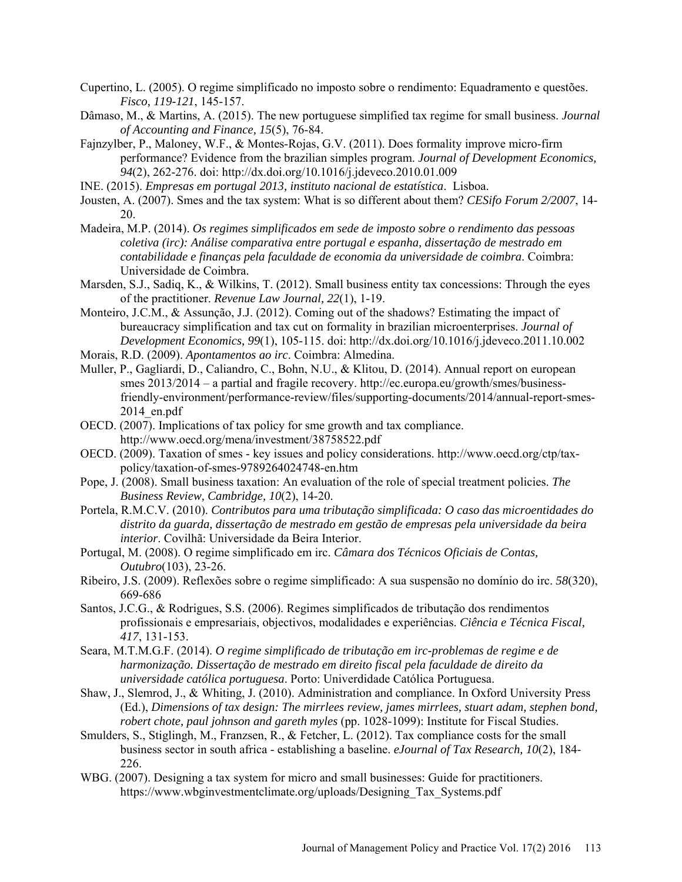- <span id="page-12-17"></span>Cupertino, L. (2005). O regime simplificado no imposto sobre o rendimento: Equadramento e questões. *Fisco, 119-121*, 145-157.
- <span id="page-12-10"></span>Dâmaso, M., & Martins, A. (2015). The new portuguese simplified tax regime for small business. *Journal of Accounting and Finance, 15*(5), 76-84.
- <span id="page-12-15"></span>Fajnzylber, P., Maloney, W.F., & Montes-Rojas, G.V. (2011). Does formality improve micro-firm performance? Evidence from the brazilian simples program. *Journal of Development Economics, 94*(2), 262-276. doi:<http://dx.doi.org/10.1016/j.jdeveco.2010.01.009>
- <span id="page-12-1"></span>INE. (2015). *Empresas em portugal 2013, instituto nacional de estatística*. Lisboa.
- <span id="page-12-6"></span>Jousten, A. (2007). Smes and the tax system: What is so different about them? *CESifo Forum 2/2007*, 14- 20.
- <span id="page-12-19"></span>Madeira, M.P. (2014). *Os regimes simplificados em sede de imposto sobre o rendimento das pessoas coletiva (irc): Análise comparativa entre portugal e espanha, dissertação de mestrado em contabilidade e finanças pela faculdade de economia da universidade de coimbra*. Coimbra: Universidade de Coimbra.
- <span id="page-12-12"></span>Marsden, S.J., Sadiq, K., & Wilkins, T. (2012). Small business entity tax concessions: Through the eyes of the practitioner. *Revenue Law Journal, 22*(1), 1-19.
- <span id="page-12-16"></span>Monteiro, J.C.M., & Assunção, J.J. (2012). Coming out of the shadows? Estimating the impact of bureaucracy simplification and tax cut on formality in brazilian microenterprises. *Journal of Development Economics, 99*(1), 105-115. doi:<http://dx.doi.org/10.1016/j.jdeveco.2011.10.002>
- <span id="page-12-18"></span>Morais, R.D. (2009). *Apontamentos ao irc*. Coimbra: Almedina.
- <span id="page-12-0"></span>Muller, P., Gagliardi, D., Caliandro, C., Bohn, N.U., & Klitou, D. (2014). Annual report on european smes 2013/2014 – a partial and fragile recovery. [http://ec.europa.eu/growth/smes/business](http://ec.europa.eu/growth/smes/business-friendly-environment/performance-review/files/supporting-documents/2014/annual-report-smes-2014_en.pdf)[friendly-environment/performance-review/files/supporting-documents/2014/annual-report-smes-](http://ec.europa.eu/growth/smes/business-friendly-environment/performance-review/files/supporting-documents/2014/annual-report-smes-2014_en.pdf)2014 $en.pdf$
- <span id="page-12-2"></span>OECD. (2007). Implications of tax policy for sme growth and tax compliance. <http://www.oecd.org/mena/investment/38758522.pdf>
- <span id="page-12-5"></span>OECD. (2009). Taxation of smes - key issues and policy considerations. [http://www.oecd.org/ctp/tax](http://www.oecd.org/ctp/tax-policy/taxation-of-smes-9789264024748-en.htm)[policy/taxation-of-smes-9789264024748-en.htm](http://www.oecd.org/ctp/tax-policy/taxation-of-smes-9789264024748-en.htm)
- <span id="page-12-9"></span>Pope, J. (2008). Small business taxation: An evaluation of the role of special treatment policies. *The Business Review, Cambridge, 10*(2), 14-20.
- <span id="page-12-11"></span>Portela, R.M.C.V. (2010). *Contributos para uma tributação simplificada: O caso das microentidades do distrito da guarda, dissertação de mestrado em gestão de empresas pela universidade da beira interior*. Covilhã: Universidade da Beira Interior.
- <span id="page-12-14"></span>Portugal, M. (2008). O regime simplificado em irc. *Câmara dos Técnicos Oficiais de Contas, Outubro*(103), 23-26.
- <span id="page-12-4"></span>Ribeiro, J.S. (2009). Reflexões sobre o regime simplificado: A sua suspensão no domínio do irc. *58*(320), 669-686
- <span id="page-12-8"></span>Santos, J.C.G., & Rodrigues, S.S. (2006). Regimes simplificados de tributação dos rendimentos profissionais e empresariais, objectivos, modalidades e experiências. *Ciência e Técnica Fiscal, 417*, 131-153.
- <span id="page-12-20"></span>Seara, M.T.M.G.F. (2014). *O regime simplificado de tributação em irc-problemas de regime e de harmonização. Dissertação de mestrado em direito fiscal pela faculdade de direito da universidade católica portuguesa*. Porto: Univerdidade Católica Portuguesa.
- <span id="page-12-7"></span>Shaw, J., Slemrod, J., & Whiting, J. (2010). Administration and compliance. In Oxford University Press (Ed.), *Dimensions of tax design: The mirrlees review, james mirrlees, stuart adam, stephen bond, robert chote, paul johnson and gareth myles* (pp. 1028-1099): Institute for Fiscal Studies.
- <span id="page-12-13"></span>Smulders, S., Stiglingh, M., Franzsen, R., & Fetcher, L. (2012). Tax compliance costs for the small business sector in south africa - establishing a baseline. *eJournal of Tax Research, 10*(2), 184- 226.
- <span id="page-12-3"></span>WBG. (2007). Designing a tax system for micro and small businesses: Guide for practitioners. https:/[/www.wbginvestmentclimate.org/uploads/Designing\\_Tax\\_Systems.pdf](http://www.wbginvestmentclimate.org/uploads/Designing_Tax_Systems.pdf)